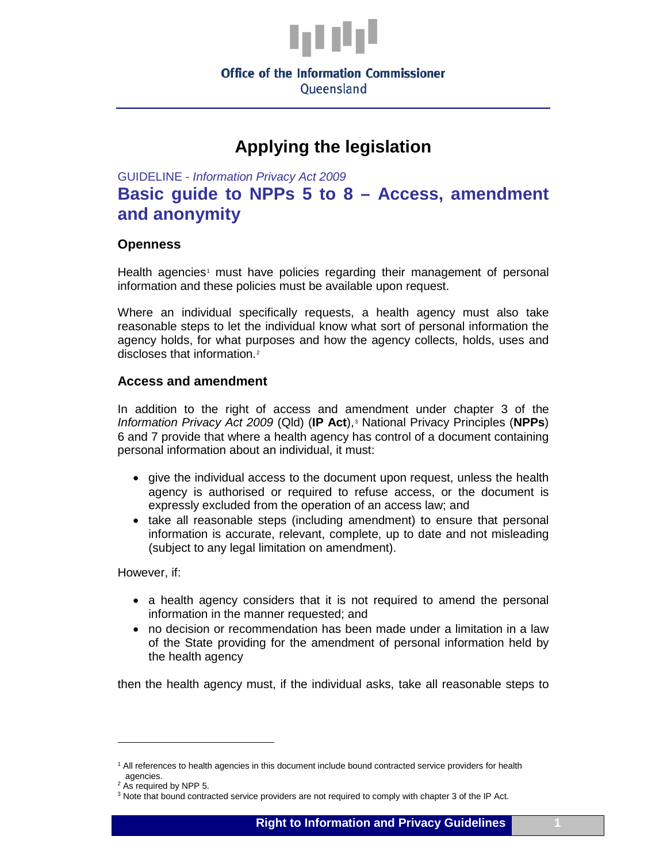

# **Applying the legislation**

GUIDELINE - *Information Privacy Act 2009*

## **Basic guide to NPPs 5 to 8 – Access, amendment and anonymity**

#### **Openness**

Health agencies<sup>[1](#page-0-0)</sup> must have policies regarding their management of personal information and these policies must be available upon request.

Where an individual specifically requests, a health agency must also take reasonable steps to let the individual know what sort of personal information the agency holds, for what purposes and how the agency collects, holds, uses and discloses that information.[2](#page-0-1)

#### **Access and amendment**

In addition to the right of access and amendment under chapter 3 of the *Information Privacy Act 2009* (Qld) (**IP Act**),<sup>[3](#page-0-2)</sup> National Privacy Principles (**NPPs**) 6 and 7 provide that where a health agency has control of a document containing personal information about an individual, it must:

- give the individual access to the document upon request, unless the health agency is authorised or required to refuse access, or the document is expressly excluded from the operation of an access law; and
- take all reasonable steps (including amendment) to ensure that personal information is accurate, relevant, complete, up to date and not misleading (subject to any legal limitation on amendment).

However, if:

- a health agency considers that it is not required to amend the personal information in the manner requested; and
- no decision or recommendation has been made under a limitation in a law of the State providing for the amendment of personal information held by the health agency

then the health agency must, if the individual asks, take all reasonable steps to

 $\ddot{\phantom{a}}$ 

<span id="page-0-0"></span><sup>&</sup>lt;sup>1</sup> All references to health agencies in this document include bound contracted service providers for health agencies.

 $2$  As required by NPP 5.

<span id="page-0-2"></span><span id="page-0-1"></span><sup>3</sup> Note that bound contracted service providers are not required to comply with chapter 3 of the IP Act.